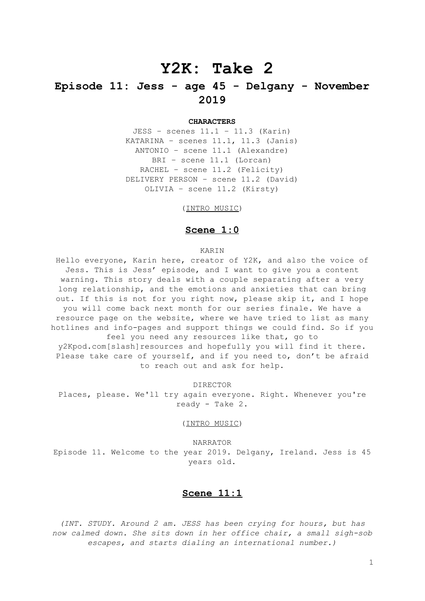# **Y2K: Take 2**

## **Episode 11: Jess - age 45 - Delgany - November 2019**

#### **CHARACTERS**

JESS – scenes 11.1 – 11.3 (Karin) KATARINA – scenes 11.1, 11.3 (Janis) ANTONIO – scene 11.1 (Alexandre) BRI – scene 11.1 (Lorcan) RACHEL – scene 11.2 (Felicity) DELIVERY PERSON – scene 11.2 (David) OLIVIA – scene 11.2 (Kirsty)

(INTRO MUSIC)

## **Scene 1:0**

#### KARIN

Hello everyone, Karin here, creator of Y2K, and also the voice of Jess. This is Jess' episode, and I want to give you a content warning. This story deals with a couple separating after a very long relationship, and the emotions and anxieties that can bring out. If this is not for you right now, please skip it, and I hope you will come back next month for our series finale. We have a resource page on the website, where we have tried to list as many hotlines and info-pages and support things we could find. So if you feel you need any resources like that, go to

y2Kpod.com[slash]resources and hopefully you will find it there. Please take care of yourself, and if you need to, don't be afraid to reach out and ask for help.

DIRECTOR

Places, please. We'll try again everyone. Right. Whenever you're ready - Take 2.

(INTRO MUSIC)

NARRATOR Episode 11. Welcome to the year 2019. Delgany, Ireland. Jess is 45 years old.

## **Scene 11:1**

*(INT. STUDY. Around 2 am. JESS has been crying for hours, but has now calmed down. She sits down in her office chair, a small sigh-sob escapes, and starts dialing an international number.)*

1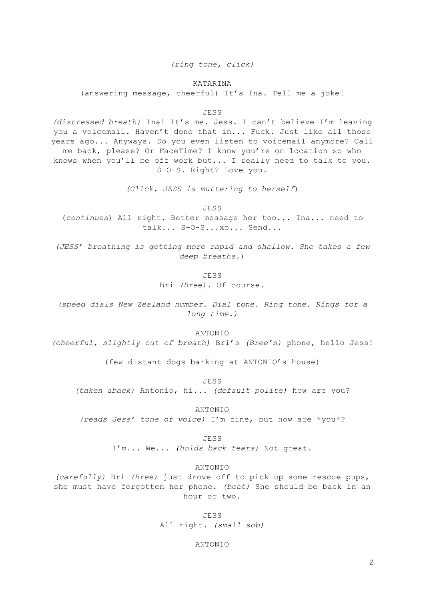*(ring tone, click)*

#### KATARINA

(answering message, cheerful) It's Ina. Tell me a joke!

JESS

*(distressed breath)* Ina! It's me. Jess. I can't believe I'm leaving you a voicemail. Haven't done that in... Fuck. Just like all those years ago... Anyways. Do you even listen to voicemail anymore? Call me back, please? Or FaceTime? I know you're on location so who knows when you'll be off work but... I really need to talk to you. S-O-S. Right? Love you.

*(Click. JESS is muttering to herself*)

JESS

(*continues*) All right. Better message her too... Ina... need to talk... S-O-S...xo... Send...

*(JESS' breathing is getting more rapid and shallow. She takes a few deep breaths*.)

> JESS Bri *(Bree)*. Of course.

*(speed dials New Zealand number. Dial tone. Ring tone. Rings for a long time.)*

ANTONIO

*(cheerful, slightly out of breath)* Bri's *(Bree's)* phone, hello Jess!

(few distant dogs barking at ANTONIO's house)

JESS

*(taken aback)* Antonio, hi... *(default polite)* how are you?

ANTONIO

*(reads Jess' tone of voice)* I'm fine, but how are \*you\*?

JESS

I'm... We... *(holds back tears)* Not great.

ANTONIO

*(carefully)* Bri *(Bree)* just drove off to pick up some rescue pups, she must have forgotten her phone. *(beat)* She should be back in an hour or two.

> JESS All right. *(small sob)*

> > ANTONIO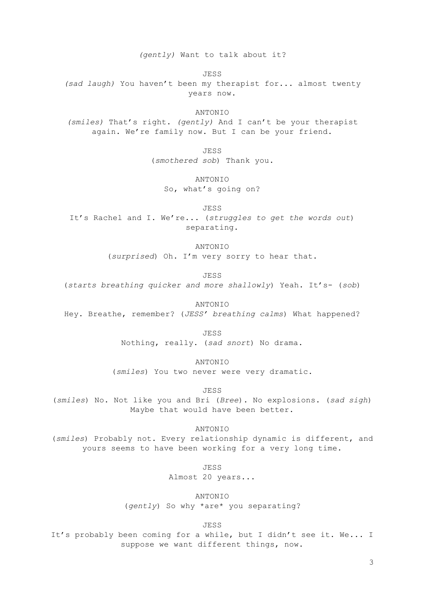*(gently)* Want to talk about it?

JESS

*(sad laugh)* You haven't been my therapist for... almost twenty years now.

ANTONIO

*(smiles)* That's right. *(gently)* And I can't be your therapist again. We're family now. But I can be your friend.

> JESS (*smothered sob*) Thank you.

> > ANTONIO

So, what's going on?

JESS

It's Rachel and I. We're... (*struggles to get the words out*) separating.

ANTONIO

(*surprised*) Oh. I'm very sorry to hear that.

JESS

(*starts breathing quicker and more shallowly*) Yeah. It's- (*sob*)

ANTONIO

Hey. Breathe, remember? (*JESS' breathing calms*) What happened?

JESS

Nothing, really. (*sad snort*) No drama.

ANTONIO

(*smiles*) You two never were very dramatic.

JESS

(*smiles*) No. Not like you and Bri (*Bree*). No explosions. (*sad sigh*) Maybe that would have been better.

ANTONIO

(*smiles*) Probably not. Every relationship dynamic is different, and yours seems to have been working for a very long time.

> JESS Almost 20 years...

> > ANTONIO

(*gently*) So why \*are\* you separating?

JESS

It's probably been coming for a while, but I didn't see it. We... I suppose we want different things, now.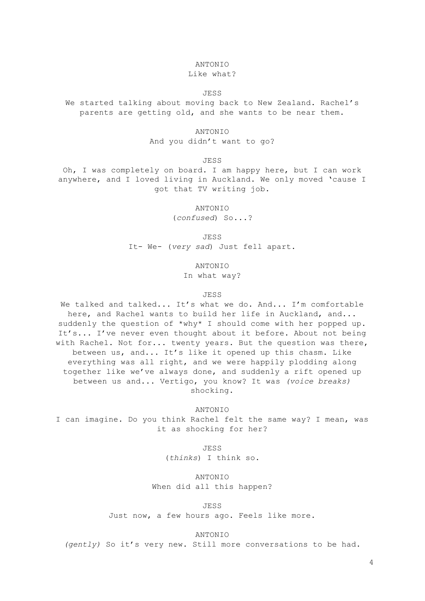#### ANTONIO

#### Like what?

#### JESS

We started talking about moving back to New Zealand. Rachel's parents are getting old, and she wants to be near them.

#### ANTONIO

And you didn't want to go?

JESS

Oh, I was completely on board. I am happy here, but I can work anywhere, and I loved living in Auckland. We only moved 'cause I got that TV writing job.

ANTONIO

(*confused*) So...?

**JESS** 

It- We- (*very sad*) Just fell apart.

ANTONIO

In what way?

#### JESS

We talked and talked... It's what we do. And... I'm comfortable here, and Rachel wants to build her life in Auckland, and... suddenly the question of \*why\* I should come with her popped up. It's... I've never even thought about it before. About not being with Rachel. Not for... twenty years. But the question was there, between us, and... It's like it opened up this chasm. Like everything was all right, and we were happily plodding along together like we've always done, and suddenly a rift opened up between us and... Vertigo, you know? It was *(voice breaks)* shocking.

#### ANTONIO

I can imagine. Do you think Rachel felt the same way? I mean, was it as shocking for her?

JESS

(*thinks*) I think so.

ANTONIO When did all this happen?

JESS

Just now, a few hours ago. Feels like more.

#### ANTONIO

*(gently)* So it's very new. Still more conversations to be had.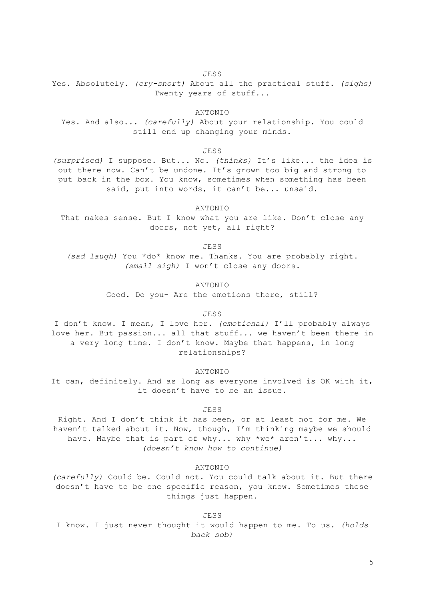JESS

Yes. Absolutely. *(cry-snort)* About all the practical stuff. *(sighs)* Twenty years of stuff...

ANTONIO

Yes. And also... *(carefully)* About your relationship. You could still end up changing your minds.

JESS

*(surprised)* I suppose. But... No. *(thinks)* It's like... the idea is out there now. Can't be undone. It's grown too big and strong to put back in the box. You know, sometimes when something has been said, put into words, it can't be... unsaid.

ANTONIO

That makes sense. But I know what you are like. Don't close any doors, not yet, all right?

JESS

*(sad laugh)* You \*do\* know me. Thanks. You are probably right. *(small sigh)* I won't close any doors.

ANTONIO

Good. Do you- Are the emotions there, still?

JESS

I don't know. I mean, I love her. *(emotional)* I'll probably always love her. But passion... all that stuff... we haven't been there in a very long time. I don't know. Maybe that happens, in long relationships?

ANTONIO

It can, definitely. And as long as everyone involved is OK with it, it doesn't have to be an issue.

JESS

Right. And I don't think it has been, or at least not for me. We haven't talked about it. Now, though, I'm thinking maybe we should have. Maybe that is part of why... why \*we\* aren't... why... *(doesn't know how to continue)*

ANTONIO

*(carefully)* Could be. Could not. You could talk about it. But there doesn't have to be one specific reason, you know. Sometimes these things just happen.

JESS I know. I just never thought it would happen to me. To us. *(holds back sob)*

5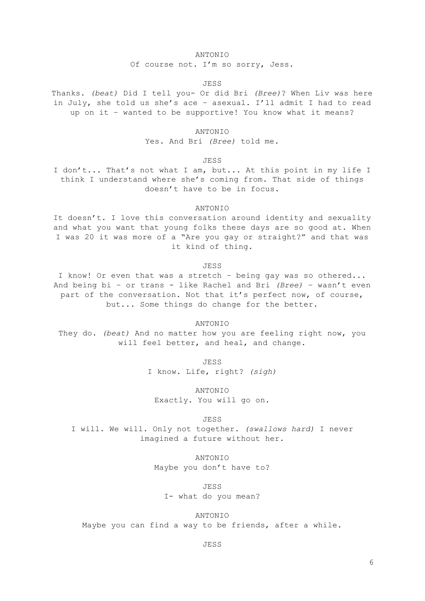#### ANTONIO

Of course not. I'm so sorry, Jess.

#### JESS

Thanks. *(beat)* Did I tell you- Or did Bri *(Bree)*? When Liv was here in July, she told us she's ace – asexual. I'll admit I had to read up on it – wanted to be supportive! You know what it means?

ANTONIO

Yes. And Bri *(Bree)* told me.

JESS

I don't... That's not what I am, but... At this point in my life I think I understand where she's coming from. That side of things doesn't have to be in focus.

ANTONIO

It doesn't. I love this conversation around identity and sexuality and what you want that young folks these days are so good at. When I was 20 it was more of a "Are you gay or straight?" and that was it kind of thing.

JESS

I know! Or even that was a stretch – being gay was so othered... And being bi – or trans - like Rachel and Bri *(Bree)* – wasn't even part of the conversation. Not that it's perfect now, of course, but... Some things do change for the better.

ANTONIO

They do. *(beat)* And no matter how you are feeling right now, you will feel better, and heal, and change.

JESS

I know. Life, right? *(sigh)*

ANTONIO Exactly. You will go on.

JESS

I will. We will. Only not together. *(swallows hard)* I never imagined a future without her.

> ANTONIO Maybe you don't have to?

> > JESS

I- what do you mean?

ANTONIO Maybe you can find a way to be friends, after a while.

JESS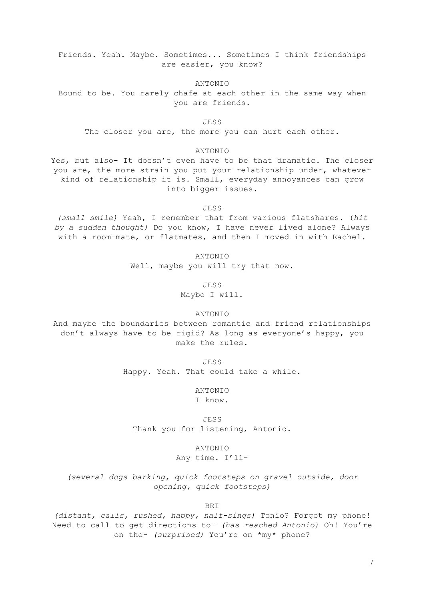Friends. Yeah. Maybe. Sometimes... Sometimes I think friendships are easier, you know?

ANTONIO

Bound to be. You rarely chafe at each other in the same way when you are friends.

JESS

The closer you are, the more you can hurt each other.

#### ANTONIO

Yes, but also- It doesn't even have to be that dramatic. The closer you are, the more strain you put your relationship under, whatever kind of relationship it is. Small, everyday annoyances can grow into bigger issues.

JESS

*(small smile)* Yeah, I remember that from various flatshares. (*hit by a sudden thought)* Do you know, I have never lived alone? Always with a room-mate, or flatmates, and then I moved in with Rachel.

ANTONIO

Well, maybe you will try that now.

JESS

Maybe I will.

#### ANTONIO

And maybe the boundaries between romantic and friend relationships don't always have to be rigid? As long as everyone's happy, you make the rules.

JESS

Happy. Yeah. That could take a while.

ANTONIO

I know.

JESS Thank you for listening, Antonio.

ANTONIO

Any time. I'll-

*(several dogs barking, quick footsteps on gravel outside, door opening, quick footsteps)*

BRI

*(distant, calls, rushed, happy, half-sings)* Tonio? Forgot my phone! Need to call to get directions to- *(has reached Antonio)* Oh! You're on the- *(surprised)* You're on \*my\* phone?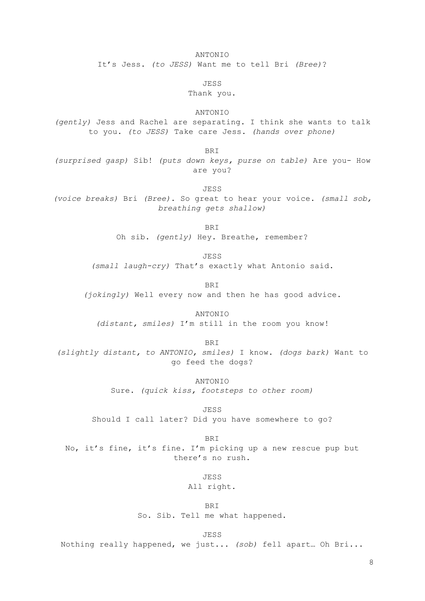ANTONIO

It's Jess. *(to JESS)* Want me to tell Bri *(Bree)*?

JESS

### Thank you.

ANTONIO

*(gently)* Jess and Rachel are separating. I think she wants to talk to you. *(to JESS)* Take care Jess. *(hands over phone)*

BRI

*(surprised gasp)* Sib! *(puts down keys, purse on table)* Are you- How are you?

JESS *(voice breaks)* Bri *(Bree)*. So great to hear your voice. *(small sob, breathing gets shallow)*

> BRI Oh sib. *(gently)* Hey. Breathe, remember?

> > JESS

*(small laugh-cry)* That's exactly what Antonio said.

BRI *(jokingly)* Well every now and then he has good advice.

ANTONIO *(distant, smiles)* I'm still in the room you know!

BRI *(slightly distant, to ANTONIO, smiles)* I know. *(dogs bark)* Want to go feed the dogs?

> ANTONIO Sure. *(quick kiss, footsteps to other room)*

JESS Should I call later? Did you have somewhere to go?

BRI No, it's fine, it's fine. I'm picking up a new rescue pup but there's no rush.

JESS

All right.

BRI So. Sib. Tell me what happened.

JESS

Nothing really happened, we just... *(sob)* fell apart… Oh Bri...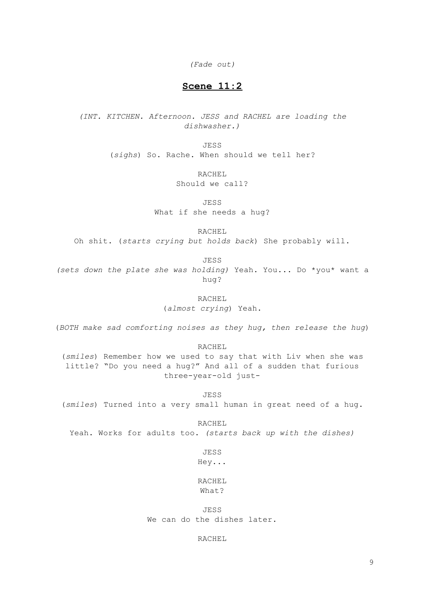*(Fade out)*

## **Scene 11:2**

*(INT. KITCHEN. Afternoon. JESS and RACHEL are loading the dishwasher.)*

> JESS (*sighs*) So. Rache. When should we tell her?

> > RACHEL

Should we call?

JESS

What if she needs a hug?

RACHEL

Oh shit. (*starts crying but holds back*) She probably will.

JESS

*(sets down the plate she was holding)* Yeah. You... Do \*you\* want a hug?

> RACHEL (*almost crying*) Yeah.

(*BOTH make sad comforting noises as they hug, then release the hug*)

RACHEL

(*smiles*) Remember how we used to say that with Liv when she was little? "Do you need a hug?" And all of a sudden that furious three-year-old just-

JESS

(*smiles*) Turned into a very small human in great need of a hug.

RACHEL Yeah. Works for adults too. *(starts back up with the dishes)*

JESS

Hey...

RACHEL What?

JESS We can do the dishes later.

RACHEL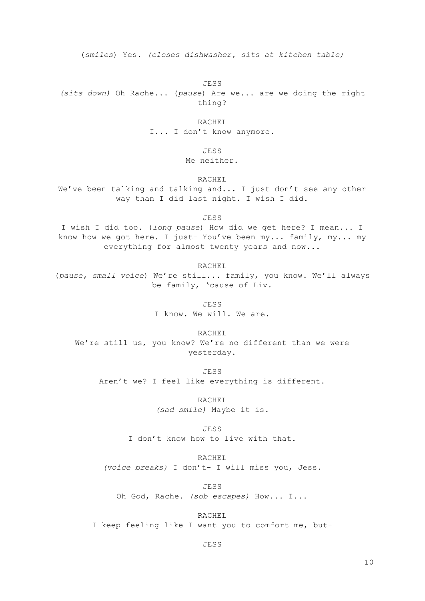(*smiles*) Yes. *(closes dishwasher, sits at kitchen table)*

JESS

*(sits down)* Oh Rache... (*pause*) Are we... are we doing the right thing?

RACHEL

I... I don't know anymore.

JESS

Me neither.

RACHEL

We've been talking and talking and... I just don't see any other way than I did last night. I wish I did.

JESS

I wish I did too. (*long pause*) How did we get here? I mean... I know how we got here. I just- You've been my... family, my... my everything for almost twenty years and now...

RACHEL (*pause, small voice*) We're still... family, you know. We'll always be family, 'cause of Liv.

> JESS I know. We will. We are.

> > RACHEL

We're still us, you know? We're no different than we were yesterday.

JESS

Aren't we? I feel like everything is different.

RACHEL *(sad smile)* Maybe it is.

JESS I don't know how to live with that.

RACHEL

*(voice breaks)* I don't- I will miss you, Jess.

JESS

Oh God, Rache. *(sob escapes)* How... I...

RACHEL

I keep feeling like I want you to comfort me, but-

JESS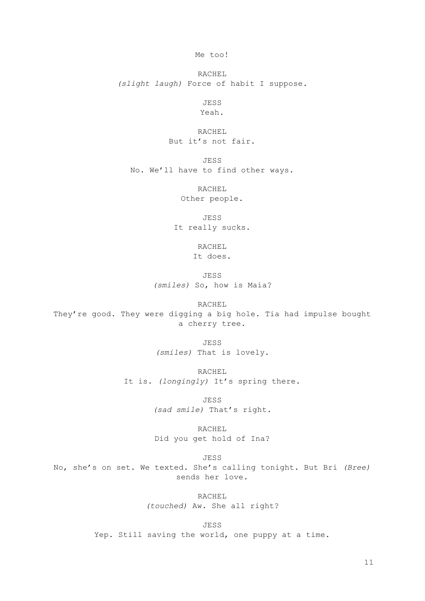Me too!

RACHEL *(slight laugh)* Force of habit I suppose.

JESS

Yeah.

RACHEL But it's not fair.

JESS No. We'll have to find other ways.

> RACHEL Other people.

JESS It really sucks.

> RACHEL It does.

JESS *(smiles)* So, how is Maia?

RACHEL

They're good. They were digging a big hole. Tia had impulse bought a cherry tree.

JESS

*(smiles)* That is lovely.

RACHEL

It is. *(longingly)* It's spring there.

JESS *(sad smile)* That's right.

RACHEL Did you get hold of Ina?

JESS

No, she's on set. We texted. She's calling tonight. But Bri *(Bree)* sends her love.

> RACHEL *(touched)* Aw. She all right?

JESS Yep. Still saving the world, one puppy at a time.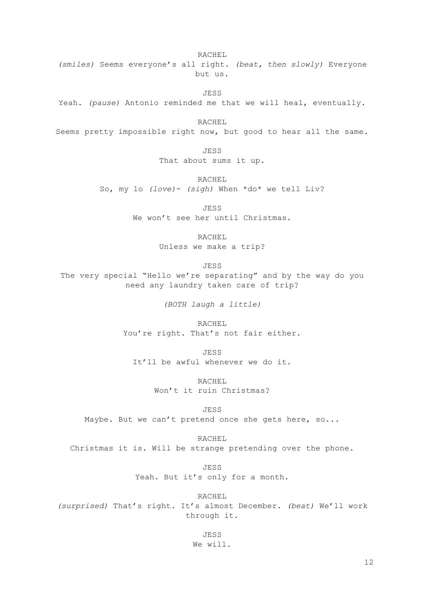RACHEL *(smiles)* Seems everyone's all right. *(beat, then slowly)* Everyone but us.

JESS

Yeah. *(pause)* Antonio reminded me that we will heal, eventually.

RACHEL

Seems pretty impossible right now, but good to hear all the same.

JESS That about sums it up.

RACHEL

So, my lo *(love)*- *(sigh)* When \*do\* we tell Liv?

JESS

We won't see her until Christmas.

RACHEL

Unless we make a trip?

JESS

The very special "Hello we're separating" and by the way do you need any laundry taken care of trip?

*(BOTH laugh a little)*

RACHEL You're right. That's not fair either.

JESS It'll be awful whenever we do it.

> RACHEL Won't it ruin Christmas?

> > JESS

Maybe. But we can't pretend once she gets here, so...

RACHEL

Christmas it is. Will be strange pretending over the phone.

JESS Yeah. But it's only for a month.

RACHEL *(surprised)* That's right. It's almost December. *(beat)* We'll work through it.

> JESS We will.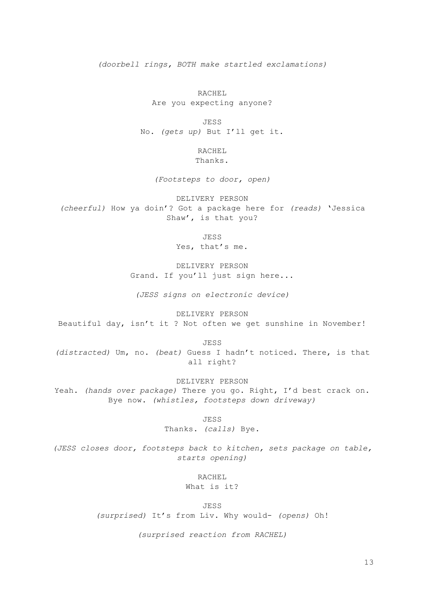*(doorbell rings, BOTH make startled exclamations)*

RACHEL Are you expecting anyone?

JESS No. *(gets up)* But I'll get it.

> RACHEL Thanks.

*(Footsteps to door, open)*

DELIVERY PERSON *(cheerful)* How ya doin'? Got a package here for *(reads)* 'Jessica Shaw', is that you?

**JESS** 

Yes, that's me.

DELIVERY PERSON Grand. If you'll just sign here...

*(JESS signs on electronic device)*

DELIVERY PERSON Beautiful day, isn't it ? Not often we get sunshine in November!

JESS

*(distracted)* Um, no. *(beat)* Guess I hadn't noticed. There, is that all right?

DELIVERY PERSON Yeah. *(hands over package)* There you go. Right, I'd best crack on. Bye now. *(whistles, footsteps down driveway)*

JESS

Thanks. *(calls)* Bye.

*(JESS closes door, footsteps back to kitchen, sets package on table, starts opening)*

RACHEL

What is it?

JESS

*(surprised)* It's from Liv. Why would- *(opens)* Oh!

*(surprised reaction from RACHEL)*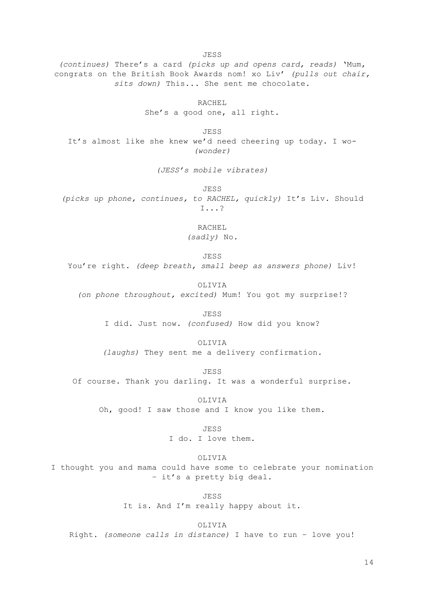*(continues)* There's a card *(picks up and opens card, reads)* 'Mum, congrats on the British Book Awards nom! xo Liv' *(pulls out chair, sits down)* This... She sent me chocolate.

JESS

RACHEL She's a good one, all right.

JESS It's almost like she knew we'd need cheering up today. I wo- *(wonder)*

*(JESS's mobile vibrates)*

JESS *(picks up phone, continues, to RACHEL, quickly)* It's Liv. Should I...?

> RACHEL *(sadly)* No.

> > JESS

You're right. *(deep breath, small beep as answers phone)* Liv!

OLIVIA *(on phone throughout, excited)* Mum! You got my surprise!?

> JESS I did. Just now. *(confused)* How did you know?

> > OLIVIA

*(laughs)* They sent me a delivery confirmation.

JESS

Of course. Thank you darling. It was a wonderful surprise.

OLIVIA Oh, good! I saw those and I know you like them.

JESS

I do. I love them.

OLIVIA

I thought you and mama could have some to celebrate your nomination – it's a pretty big deal.

> JESS It is. And I'm really happy about it.

OLIVIA Right. *(someone calls in distance)* I have to run – love you!

14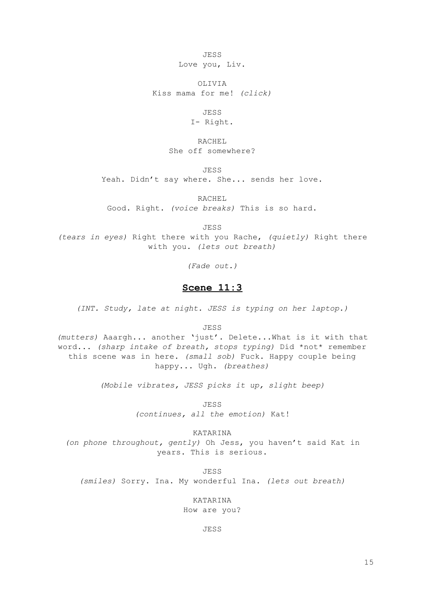JESS Love you, Liv.

OLIVIA Kiss mama for me! *(click)*

JESS

I- Right.

RACHEL She off somewhere?

JESS

Yeah. Didn't say where. She... sends her love.

RACHEL

Good. Right. *(voice breaks)* This is so hard.

JESS

*(tears in eyes)* Right there with you Rache, *(quietly)* Right there with you. *(lets out breath)*

*(Fade out.)*

## **Scene 11:3**

*(INT. Study, late at night. JESS is typing on her laptop.)*

JESS

*(mutters)* Aaargh... another 'just'. Delete...What is it with that word... *(sharp intake of breath, stops typing)* Did \*not\* remember this scene was in here. *(small sob)* Fuck. Happy couple being happy... Ugh. *(breathes)*

*(Mobile vibrates, JESS picks it up, slight beep)*

JESS

*(continues, all the emotion)* Kat!

KATARINA

*(on phone throughout, gently)* Oh Jess, you haven't said Kat in years. This is serious.

JESS

*(smiles)* Sorry. Ina. My wonderful Ina. *(lets out breath)*

KATARINA How are you?

JESS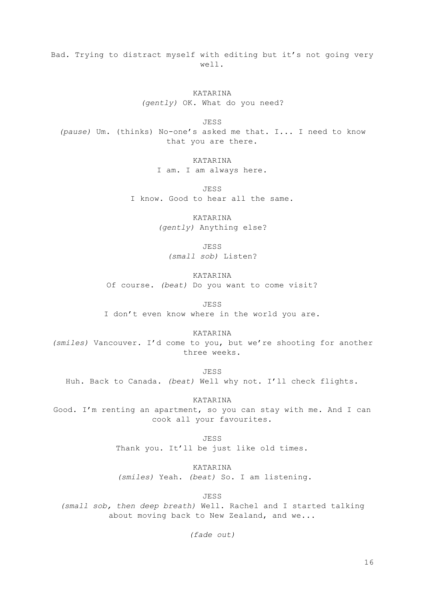Bad. Trying to distract myself with editing but it's not going very well.

> KATARINA *(gently)* OK. What do you need?

JESS *(pause)* Um. (thinks) No-one's asked me that. I... I need to know that you are there.

> KATARINA I am. I am always here.

JESS I know. Good to hear all the same.

> KATARINA *(gently)* Anything else?

> > JESS

*(small sob)* Listen?

KATARINA Of course. *(beat)* Do you want to come visit?

JESS

I don't even know where in the world you are.

KATARINA

*(smiles)* Vancouver. I'd come to you, but we're shooting for another three weeks.

JESS

Huh. Back to Canada. *(beat)* Well why not. I'll check flights.

KATARINA

Good. I'm renting an apartment, so you can stay with me. And I can cook all your favourites.

> JESS Thank you. It'll be just like old times.

> > KATARINA

*(smiles)* Yeah. *(beat)* So. I am listening.

JESS

*(small sob, then deep breath)* Well. Rachel and I started talking about moving back to New Zealand, and we...

*(fade out)*